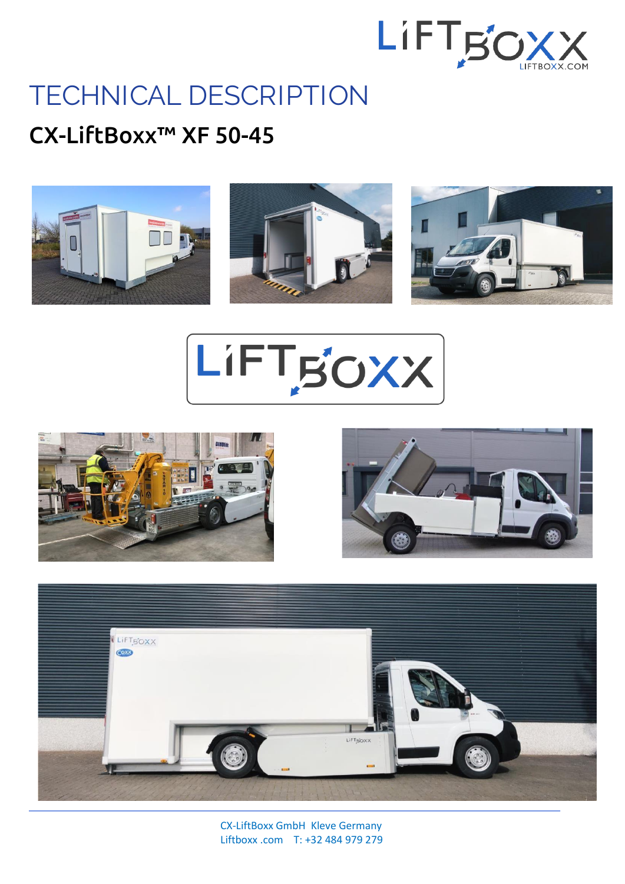

## **TECHNICAL DESCRIPTION**

## CX-LiftBoxx™ XF 50-45



LIFTBOXX







 CX-LiftBoxx GmbH Kleve Germany Liftboxx .com T: +32 484 979 279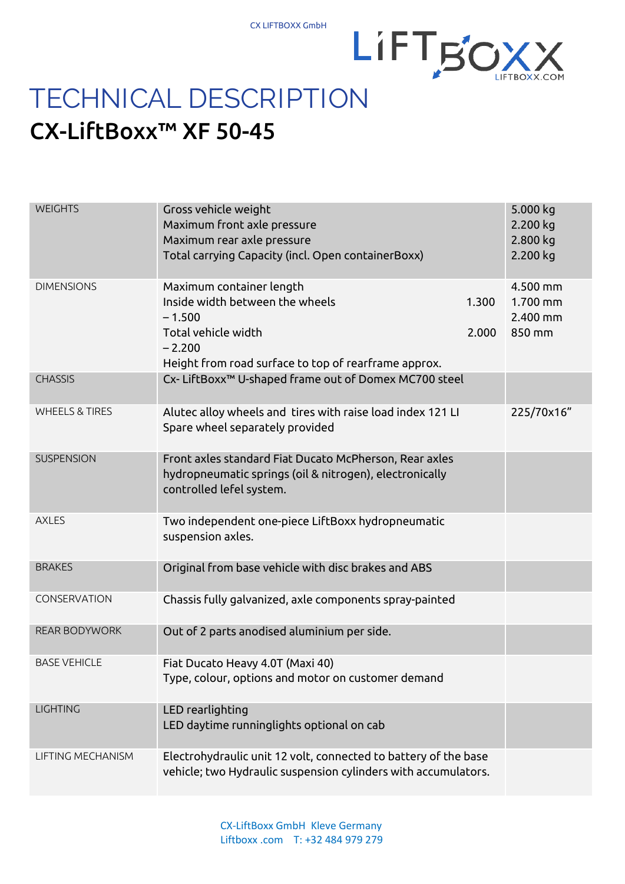

## CX-LiftBoxx™ XF 50-45

| <b>WEIGHTS</b>            | Gross vehicle weight<br>Maximum front axle pressure<br>Maximum rear axle pressure<br>Total carrying Capacity (incl. Open containerBoxx)                            |                | 5.000 kg<br>2.200 kg<br>2.800 kg<br>2.200 kg   |
|---------------------------|--------------------------------------------------------------------------------------------------------------------------------------------------------------------|----------------|------------------------------------------------|
| <b>DIMENSIONS</b>         | Maximum container length<br>Inside width between the wheels<br>$-1.500$<br>Total vehicle width<br>$-2.200$<br>Height from road surface to top of rearframe approx. | 1.300<br>2.000 | 4.500 mm<br>$1.700$ mm<br>$2.400$ mm<br>850 mm |
| <b>CHASSIS</b>            | Cx- LiftBoxx™ U-shaped frame out of Domex MC700 steel                                                                                                              |                |                                                |
| <b>WHEELS &amp; TIRES</b> | Alutec alloy wheels and tires with raise load index 121 LI<br>Spare wheel separately provided                                                                      |                | 225/70x16"                                     |
| <b>SUSPENSION</b>         | Front axles standard Fiat Ducato McPherson, Rear axles<br>hydropneumatic springs (oil & nitrogen), electronically<br>controlled lefel system.                      |                |                                                |
| <b>AXLES</b>              | Two independent one-piece LiftBoxx hydropneumatic<br>suspension axles.                                                                                             |                |                                                |
| <b>BRAKES</b>             | Original from base vehicle with disc brakes and ABS                                                                                                                |                |                                                |
| CONSERVATION              | Chassis fully galvanized, axle components spray-painted                                                                                                            |                |                                                |
| <b>REAR BODYWORK</b>      | Out of 2 parts anodised aluminium per side.                                                                                                                        |                |                                                |
| <b>BASE VEHICLE</b>       | Fiat Ducato Heavy 4.0T (Maxi 40)<br>Type, colour, options and motor on customer demand                                                                             |                |                                                |
| <b>LIGHTING</b>           | LED rearlighting<br>LED daytime runninglights optional on cab                                                                                                      |                |                                                |
| LIFTING MECHANISM         | Electrohydraulic unit 12 volt, connected to battery of the base<br>vehicle; two Hydraulic suspension cylinders with accumulators.                                  |                |                                                |

 CX-LiftBoxx GmbH Kleve Germany Liftboxx .com T: +32 484 979 279